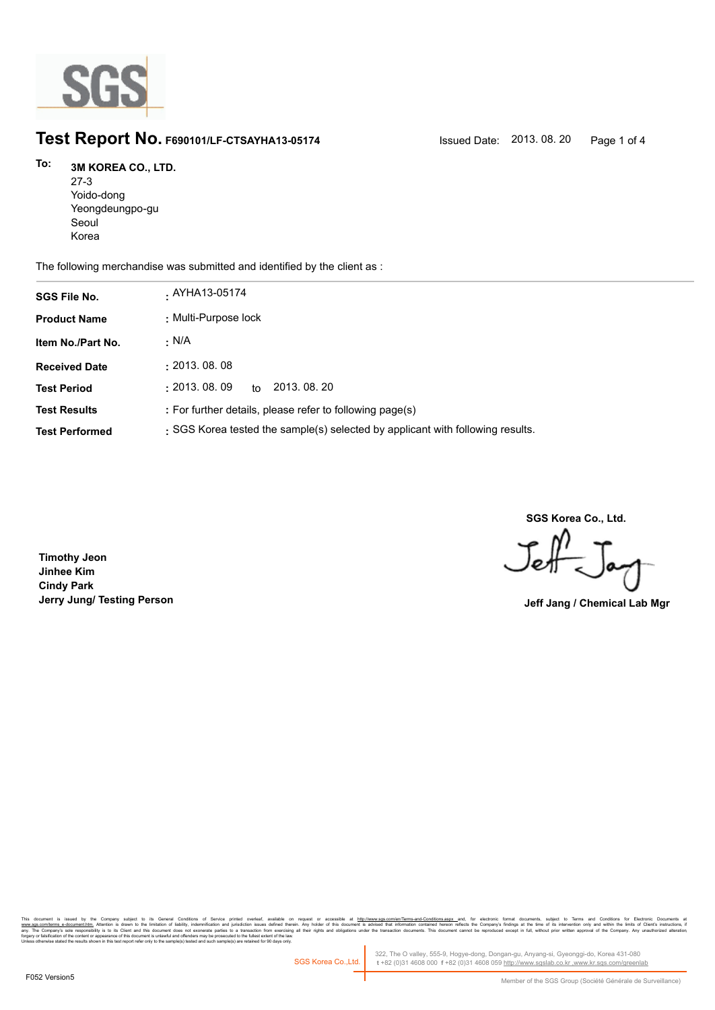

# **Test Report No. F690101/LF-CTSAYHA13-05174** Issued Date: 2013. 08. 20 Page 1 of 4

### **3M KOREA CO., LTD. To:**

27-3 Yoido-dong Yeongdeungpo-gu Seoul Korea

The following merchandise was submitted and identified by the client as :

| <b>SGS File No.</b>   | . AYHA13-05174                                                                 |
|-----------------------|--------------------------------------------------------------------------------|
| <b>Product Name</b>   | : Multi-Purpose lock                                                           |
| Item No./Part No.     | · N/A                                                                          |
| <b>Received Date</b>  | : 2013.08.08                                                                   |
| <b>Test Period</b>    | 2013, 08, 20<br>: 2013.08.09<br>to                                             |
| <b>Test Results</b>   | : For further details, please refer to following page(s)                       |
| <b>Test Performed</b> | : SGS Korea tested the sample(s) selected by applicant with following results. |

**SGS Korea Co., Ltd.**

Jeff

 **Jerry Jung/ Testing Person Jeff Jang / Chemical Lab Mgr**

**Timothy Jeon Jinhee Kim Cindy Park**

, company sugna, as cerain consmons or servor pnme overa, available that the mate of accessive at <u>mitovawess compendent means associated that indiversases and</u> compensive compensive interest in the distinguish in Temperat forgery or falsification of the content or appearance of this document is unlawful and offenders may be prosecuted to the fullest extent of the law.<br>Unless otherwise stated the results shown in this test report refer only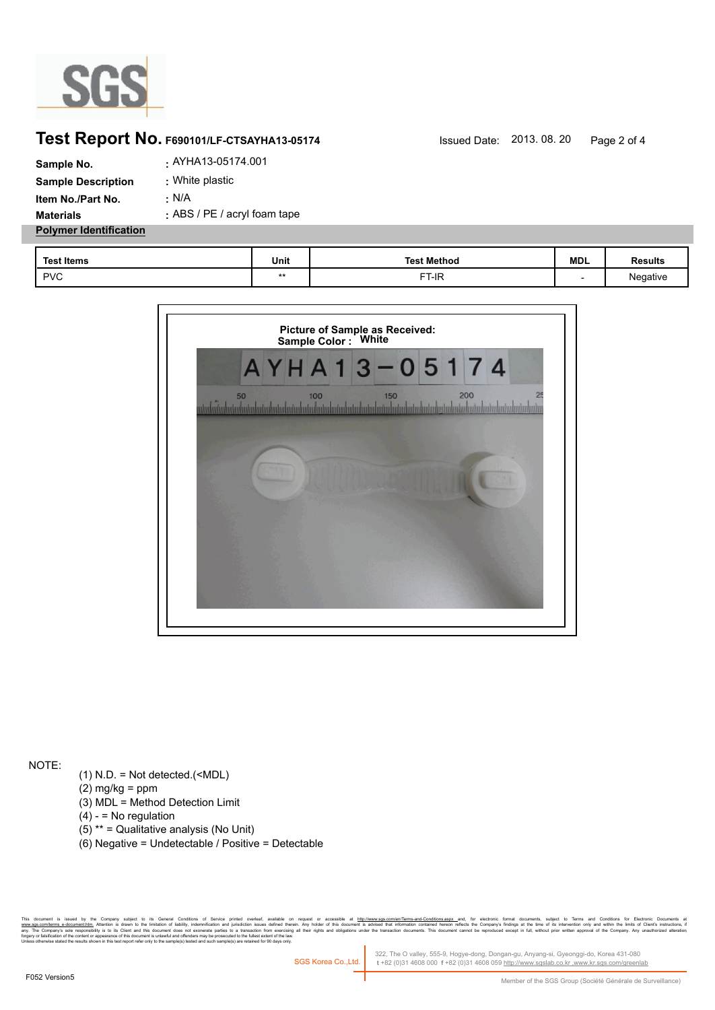

## **Test Report No. F690101/LF-CTSAYHA13-05174** Issued Date: 2013. 08. 20 Page 2 of 4

| Sample No.                    | . AYHA13-05174.001           |
|-------------------------------|------------------------------|
| <b>Sample Description</b>     | : White plastic              |
| Item No./Part No.             | : N/A                        |
| <b>Materials</b>              | : ABS / PE / acryl foam tape |
| <b>Polymer Identification</b> |                              |

| <b>Test Items</b> | Unit | <b>Test Method</b> | <b>MDL</b> | <b>Results</b> |
|-------------------|------|--------------------|------------|----------------|
| <b>PVC</b>        | **   | FT-IR              |            | Negative       |



NOTE:

- (1) N.D. = Not detected.(<MDL)
- $(2)$  mg/kg = ppm
- (3) MDL = Method Detection Limit
- $(4) -$  = No regulation
- (5) \*\* = Qualitative analysis (No Unit)
- (6) Negative = Undetectable / Positive = Detectable

, Company subject to its General Conditons of Service primed overleat, available on request or accessible at <u>http://www.sps.com/en/lems-and-Conditonsaspx a</u>nd, tor electronic tocuments, subject to lemma and Conditions for es to a transaction from exercising all<br>ecuted to the fullest extent of the law.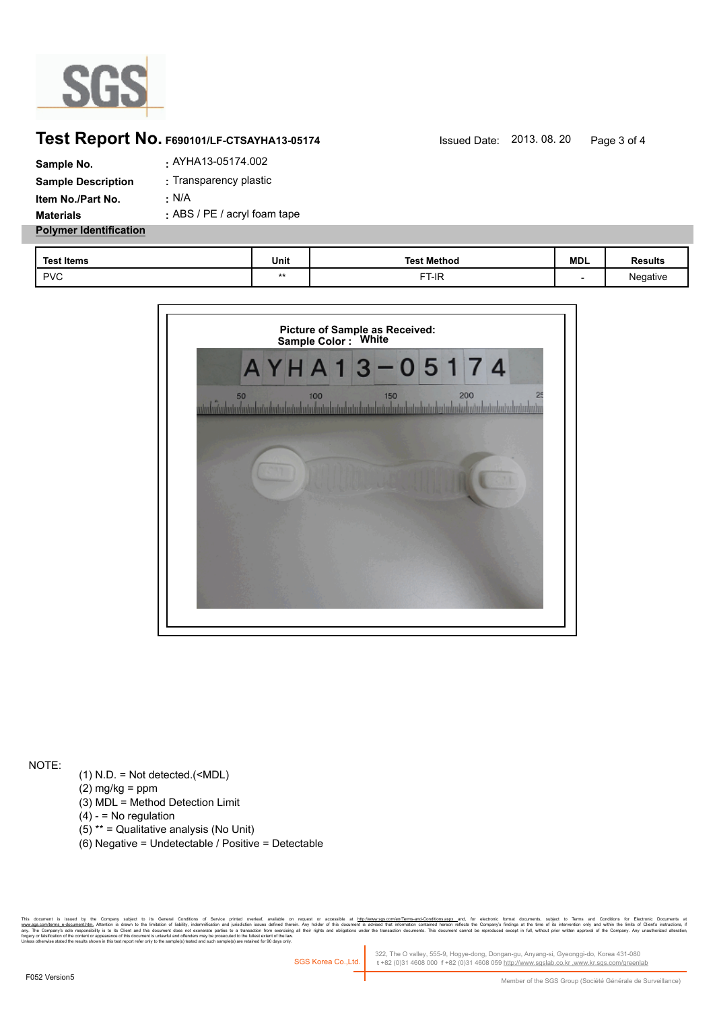

## **Test Report No. F690101/LF-CTSAYHA13-05174** Issued Date: 2013. 08. 20 Page 3 of 4

| Sample No.                    | . AYHA13-05174.002           |
|-------------------------------|------------------------------|
| <b>Sample Description</b>     | : Transparency plastic       |
| Item No./Part No.             | : N/A                        |
| <b>Materials</b>              | : ABS / PE / acryl foam tape |
| <b>Polymer Identification</b> |                              |

| <b>Test Items</b> | Unit | <b>Test Method</b> | <b>MDL</b> | Results  |
|-------------------|------|--------------------|------------|----------|
| <b>PVC</b>        | **   | FT-IR              |            | Negative |



NOTE:

- (1) N.D. = Not detected.(<MDL)
- $(2)$  mg/kg = ppm
- (3) MDL = Method Detection Limit
- $(4) -$  = No regulation
- (5) \*\* = Qualitative analysis (No Unit)
- (6) Negative = Undetectable / Positive = Detectable

, Company subject to its General Conditons of Service primed overleat, available on request or accessible at <u>http://www.sps.com/en/lems-and-Conditonsaspx a</u>nd, tor electronic tocuments, subject to lemma and Conditions for es to a transaction from exercising all<br>ecuted to the fullest extent of the law.